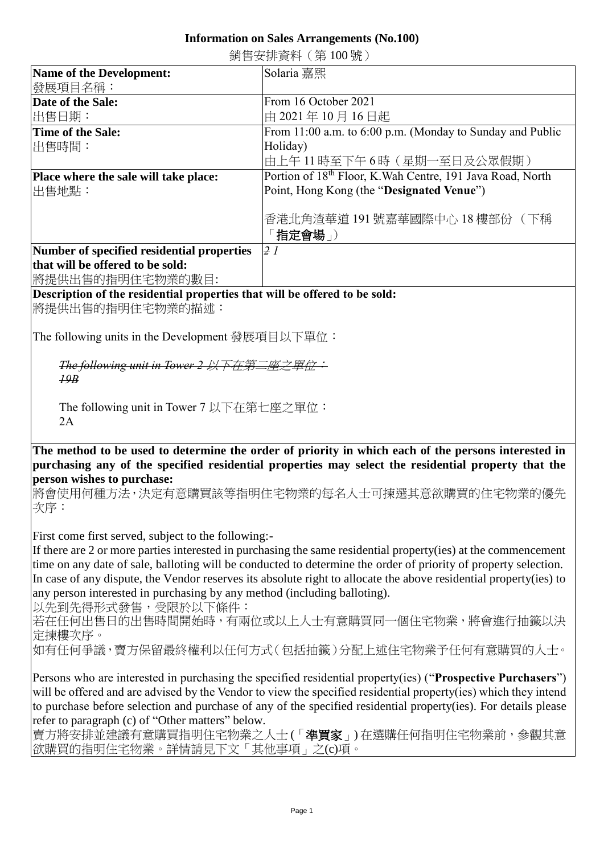## **Information on Sales Arrangements (No.100)** 銷售安排資料(第 100 號)

| Name of the Development:                   | Solaria 嘉熙                                                 |
|--------------------------------------------|------------------------------------------------------------|
| 發展項目名稱:                                    |                                                            |
| Date of the Sale:                          | From 16 October 2021                                       |
| 出售日期:                                      | 由 2021年10月16日起                                             |
| Time of the Sale:                          | From 11:00 a.m. to 6:00 p.m. (Monday to Sunday and Public  |
| 出售時間:                                      | Holiday)                                                   |
|                                            | 由上午11時至下午6時(星期一至日及公眾假期)                                    |
| Place where the sale will take place:      | Portion of 18th Floor, K. Wah Centre, 191 Java Road, North |
| 出售地點:                                      | Point, Hong Kong (the "Designated Venue")                  |
|                                            |                                                            |
|                                            | 香港北角渣華道 191號嘉華國際中心 18 樓部份 (下稱                              |
|                                            | 「指定會場」)                                                    |
| Number of specified residential properties | $\overline{2}$ 1                                           |
| that will be offered to be sold:           |                                                            |

將提供出售的指明住宅物業的數目:

## **Description of the residential properties that will be offered to be sold:**

將提供出售的指明住宅物業的描述:

The following units in the Development 發展項目以下單位:

*The following unit in Tower 2* 以下在第二座之單位: *19B*

The following unit in Tower 7 以下在第七座之單位:  $2A$ 

**The method to be used to determine the order of priority in which each of the persons interested in purchasing any of the specified residential properties may select the residential property that the person wishes to purchase:** 

將會使用何種方法,決定有意購買該等指明住宅物業的每名人士可揀選其意欲購買的住宅物業的優先 次序:

First come first served, subject to the following:-

If there are 2 or more parties interested in purchasing the same residential property(ies) at the commencement time on any date of sale, balloting will be conducted to determine the order of priority of property selection. In case of any dispute, the Vendor reserves its absolute right to allocate the above residential property(ies) to any person interested in purchasing by any method (including balloting).

以先到先得形式發售,受限於以下條件:

若在任何出售日的出售時間開始時,有兩位或以上人士有意購買同一個住宅物業,將會進行抽籤以決 定揀樓次序。

如有任何爭議,賣方保留最終權利以任何方式(包括抽籤)分配上述住宅物業予任何有意購買的人士。

Persons who are interested in purchasing the specified residential property(ies) ("**Prospective Purchasers**") will be offered and are advised by the Vendor to view the specified residential property(ies) which they intend to purchase before selection and purchase of any of the specified residential property(ies). For details please refer to paragraph (c) of "Other matters" below.

賣方將安排並建議有意購買指明住宅物業之人士(「**準買家**」) 在選購任何指明住宅物業前,參觀其意 欲購買的指明住宅物業。詳情請見下文「其他事項」之(c)項。